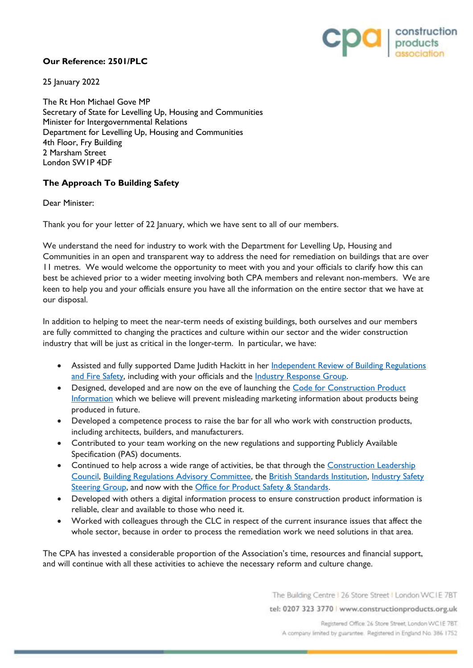

## **Our Reference: 2501/PLC**

25 January 2022

The Rt Hon Michael Gove MP Secretary of State for Levelling Up, Housing and Communities Minister for Intergovernmental Relations Department for Levelling Up, Housing and Communities 4th Floor, Fry Building 2 Marsham Street London SW1P 4DF

## **The Approach To Building Safety**

Dear Minister:

Thank you for your letter of 22 January, which we have sent to all of our members.

We understand the need for industry to work with the Department for Levelling Up, Housing and Communities in an open and transparent way to address the need for remediation on buildings that are over 11 metres. We would welcome the opportunity to meet with you and your officials to clarify how this can best be achieved prior to a wider meeting involving both CPA members and relevant non-members. We are keen to help you and your officials ensure you have all the information on the entire sector that we have at our disposal.

In addition to helping to meet the near-term needs of existing buildings, both ourselves and our members are fully committed to changing the practices and culture within our sector and the wider construction industry that will be just as critical in the longer-term. In particular, we have:

- Assisted and fully supported Dame Judith Hackitt in her Independent Review of Building Regulations [and Fire Safety,](https://www.gov.uk/government/collections/independent-review-of-building-regulations-and-fire-safety-hackitt-review) including with your officials and the [Industry Response Group.](https://www.gov.uk/government/news/new-industry-group-to-ensure-construction-sector-ready-to-meet-building-challenges-after-grenfell-tower)
- Designed, developed and are now on the eve of launching the [Code for Construction Product](https://www.cpicode.org.uk/)  [Information](https://www.cpicode.org.uk/) which we believe will prevent misleading marketing information about products being produced in future.
- Developed a competence process to raise the bar for all who work with construction products, including architects, builders, and manufacturers.
- Contributed to your team working on the new regulations and supporting Publicly Available Specification (PAS) documents.
- Continued to help across a wide range of activities, be that through the Construction Leadership [Council,](https://www.constructionleadershipcouncil.co.uk/) [Building Regulations Advisory Committee,](https://www.gov.uk/government/organisations/building-regulations-advisory-committee) the [British Standards Institution,](https://www.bsigroup.com/en-GB/about-bsi/uk-national-standards-body/BIS-Exploring-new-areas-with-government-funding/projects/Construction/) [Industry Safety](https://www.gov.uk/government/publications/industry-safety-steering-group-third-report-on-culture-change-in-the-built-environment-industry)  [Steering Group,](https://www.gov.uk/government/publications/industry-safety-steering-group-third-report-on-culture-change-in-the-built-environment-industry) and now with the [Office for Product Safety & Standards.](https://www.gov.uk/government/organisations/office-for-product-safety-and-standards)
- Developed with others a digital information process to ensure construction product information is reliable, clear and available to those who need it.
- Worked with colleagues through the CLC in respect of the current insurance issues that affect the whole sector, because in order to process the remediation work we need solutions in that area.

The CPA has invested a considerable proportion of the Association's time, resources and financial support, and will continue with all these activities to achieve the necessary reform and culture change.

The Building Centre | 26 Store Street | London WCIE 7BT

tel: 0207 323 3770 | www.constructionproducts.org.uk

Registered Office 26 Store Street, London WC1E 7BT. A company limited by guarantee. Registered in England No. 386 1752